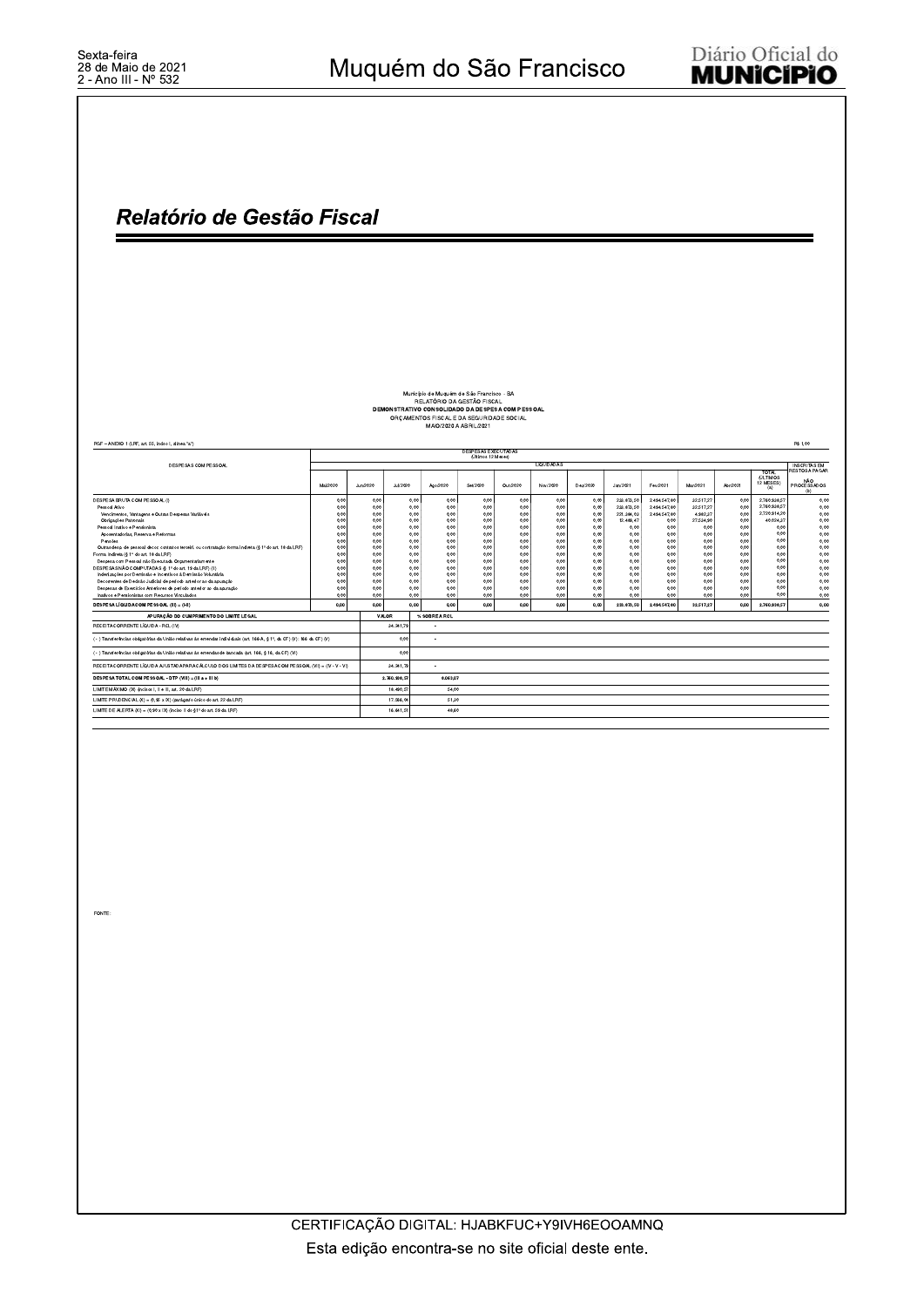### Relatório de Gestão Fiscal

### Município de Muquém de São Francisco - BA<br>RELATÓRIO DA GESTÃO FISCAL<br>DEMONSTRATIVO CONSOLIDADO DA DESPESA COM PESSOAL<br>ORÇAMENTOS FISCAL E DA SEGURIDADE SOCIAL<br>MAIO/2020 A ABRIL/2021

| RGF - ANEXO 1 (LRF, art, 55, inciso I, alinea "a")                                                                        |          |          |                 |               |                                           |          |                   |          |            |              |           |          |                           | R\$ 1.00                  |
|---------------------------------------------------------------------------------------------------------------------------|----------|----------|-----------------|---------------|-------------------------------------------|----------|-------------------|----------|------------|--------------|-----------|----------|---------------------------|---------------------------|
|                                                                                                                           |          |          |                 |               | DESPESAS EXECUTADAS<br>(Últimos 12 Meses) |          |                   |          |            |              |           |          |                           |                           |
| DESPESAS COM PESSOAL                                                                                                      |          |          |                 |               |                                           |          | <b>LIQUIDADAS</b> |          |            |              |           |          |                           | <b>INSCRITAS EM</b>       |
|                                                                                                                           |          |          |                 |               |                                           |          |                   |          |            |              |           |          | TOTAL<br><b>(ÚLTIMOS)</b> | RESTOS A PAGAR            |
|                                                                                                                           | Mai/2020 | Jun/2020 | <b>Jul/2020</b> | Ago/2020      | Set/2020                                  | Out/2020 | Nov/2020          | Dez/2020 | Jan/2021   | Fev/2021     | Mar/2021  | Abr/2021 | 12 MESES)<br>(a)          | NÃO<br>PROCESSADOS<br>(b) |
| DESPESA BRUTA COM PESSOAL (II)                                                                                            | 0.00     | 0.00     | 0.00            | 0.00          | 0.00                                      | 0.00     | 0.00              | 0.00     | 233.873,50 | 2.494.547,80 | 32.517.27 | 0.00     | 2.760.938.57              | 0.00                      |
| Pessoal Ativo                                                                                                             | 0,00     | 0,00     | 0,00            | 0,00          | 0.00                                      | 0.00     | 0.00              | 0.00     | 233.873.50 | 2.494.547.80 | 32.517.27 | 0,00     | 2.760.938.57              | 0.00                      |
| Vencimentos, Vantagens e Outras Despesas Variáveis                                                                        | 0.00     | 0.00     | 0.00            | 0.00          | 0.00                                      | 0.00     | 0.00              | 0.00     | 221.384.03 | 2.494.547.80 | 4.982.37  | 0.00     | 2.720.914.20              | 0.00                      |
| Obrigações Patronais                                                                                                      | 0.00     | 0,00     | 0.00            | 0.00          | 0.00                                      | 0.00     | 0,00              | 0,00     | 12.489,47  | 0,00         | 27.534,90 | 0.00     | 40.024.37                 | 0.00                      |
| Pessoal Inativo e Pensionista                                                                                             | 0.00     | 0.00     | 0.00            | 0.00          | 0.00                                      | 0.00     | 0.00              | 0.00     | 0.00       | 0,00         | 0.00      | 0.00     | 0.00                      | 0,00                      |
| Aposentadorias, Reserva e Reformas                                                                                        | 0.00     | 0.00     | 0.00            | 0.00          | 0.00                                      | 0.00     | 0.00              | 0.00     | 0.00       | 0,00         | 0.00      | 0.00     | 0.01                      | 0,00                      |
| Pensões                                                                                                                   | 0,00     | 0,00     | 0,00            | 0,00          | 0.00                                      | 0.00     | 0,00              | 0.00     | 0,00       | 0,00         | 0,00      | 0,00     | 0.00                      | 0,00                      |
| Outras desp. de pessoal decor. contratos terceiri, ou contratação forma indireta (§ 1º do art. 18 da LRF)                 | 0.00     | 0.00     | 0.00            | 0.00          | 0.00                                      | 0.00     | 0.00              | 0.00     | 0.00       | 0.00         | 0.00      | 0.00     | 0.00                      | 0.00                      |
| Forma Indireta (§ 1" do art. 18 da LRF)                                                                                   | 0.00     | 0,00     | 0.00            | 0.00          | 0.00                                      | 0.00     | 0.00              | 0,00     | 0,00       | 0.00         | 0.00      | 0.00     | 0.00                      | 0.00                      |
| Despesa com Pessoal não Executada Orçamentariamente                                                                       | 0,00     | 0,00     | 0,00            | 0,00          | 0,00                                      | 0.00     | 0.00              | 0.00     | 0,00       | 0,00         | 0.00      | 0,00     | 0.00                      | 0,00                      |
| DESPESAS NÃO COMPUTADAS (6 1º do art, 19 da LRF) (II)                                                                     | 0.00     | 0.00     | 0.00            | 0.00          | 0.00                                      | 0.00     | 0.00              | 0.00     | 0.00       | 0.00         | 0.00      | 0.00     | 0.00                      | 0.00                      |
| Indenizações por Demissão e Incentivos à Demissão Voluntária                                                              | 0,00     | 0,00     | 0,00            | 0,00          | 0.00                                      | 0.00     | 0,00              | 0.00     | 0,00       | 0,00         | 0.00      | 0.00     | 0.00                      | 0.00                      |
| Decorrentes de Decisão Judicial de período anterior ao da apuração                                                        | 0.00     | 0.00     | 0.00            | 0.00          | 0.00                                      | 0.00     | 0.00              | 0.00     | 0.00       | 0.00         | 0.00      | 0.00     | 0.00                      | 0.00                      |
| Despesas de Exercícios Anteriores de período anterior ao da apuração                                                      | 0.00     | 0.00     | 0.00            | 0.00          | 0.00                                      | 0.00     | 0.00              | 0.00     | 0,00       | 0.00         | 0.00      | 0.00     | 0.00                      | 0.00                      |
| Inativos e Pensionistas com Recursos Vinculados                                                                           | 0.00     | 0.00     | 0.00            | 0.00          | 0.00                                      | 0.00     | 0.00              | 0.00     | 0.00       | 0.00         | 0.00      | 0.00     | 0.00                      | 0.00                      |
| DESPESA LÍQUIDA COM PESSOAL (III) = (I-II)                                                                                | 0,00     | 0,00     | 0,00            | 0,00          | 0.00                                      | 0,00     | 0,00              | 0.00     | 233,873,50 | 2,494,547,80 | 32.517.27 | 0.00     | 2,760,938.57              | 0,00                      |
|                                                                                                                           |          |          |                 |               |                                           |          |                   |          |            |              |           |          |                           |                           |
| APURAÇÃO DO CUMPRIMENTO DO LIMITE LEGAL                                                                                   |          |          | VALOR           | % SOBRE A RCL |                                           |          |                   |          |            |              |           |          |                           |                           |
| RECEITA CORRENTE LÍQUIDA - RCL (IV)                                                                                       |          |          | 34.241.79       |               |                                           |          |                   |          |            |              |           |          |                           |                           |
| ( - ) Transferências obrigatórias da União relativas às emendas individuais (art. 166-A, § 1º, da CF) (V): 166 da CF) (V) |          |          | 0.00            |               |                                           |          |                   |          |            |              |           |          |                           |                           |
| ( - ) Transferências obrigatórias da União relativas às emendas de bancada (art. 166, § 16, da CF) (VI)                   |          |          | 0.00            |               |                                           |          |                   |          |            |              |           |          |                           |                           |
| RECEITA CORRENTE LÍQUIDA AJUSTADA PARA CÁLCULO DOS LIMITES DA DESPESA COM PESSOAL (VII) = (IV - V - VI)                   |          |          | 34.241,79       |               |                                           |          |                   |          |            |              |           |          |                           |                           |
| DESPESA TOTAL COM PESSOAL - DTP (VIII) = (III a + III b)                                                                  |          |          | 2.760.938,57    | 8.063.07      |                                           |          |                   |          |            |              |           |          |                           |                           |
| LIMITE MÁXIMO (IX) (incisos I, II e III, art. 20 da LRF)                                                                  |          |          | 18.490.5        | 54.00         |                                           |          |                   |          |            |              |           |          |                           |                           |
| LIMITE PRUDENCIAL (X) = (0,95 x IX) (parágrafo único do art. 22 da LRF)                                                   |          |          | 17.566.04       | 51,30         |                                           |          |                   |          |            |              |           |          |                           |                           |
| LIMITE DE ALERTA (XI) = (0,90 x IX) (inciso II do \$1° do art. 59 da LRF)                                                 |          |          | 16.641.5        | 48.60         |                                           |          |                   |          |            |              |           |          |                           |                           |
|                                                                                                                           |          |          |                 |               |                                           |          |                   |          |            |              |           |          |                           |                           |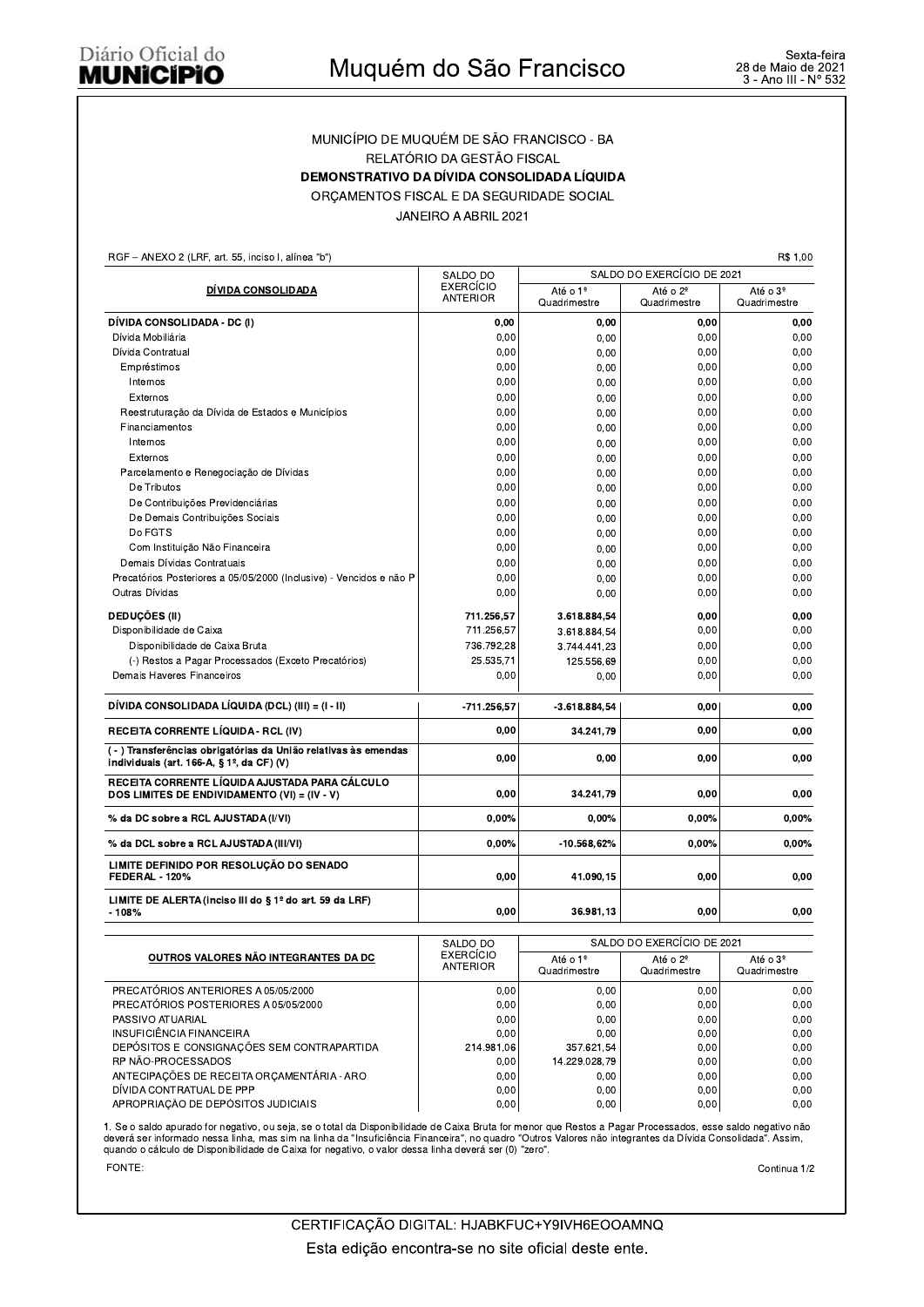## MUNICIPIO DE MUQUEM DE SAO FRANCISCO - BA RELATORIO DA GESTAO FISCAL MUNICÍPIO DE MUQUÉM DE SÃO FRANCISCO<br>
MUNICÍPIO DE MUQUÉM DE SÃO FRANCISCO - BA<br>
RELATÓRIO DA GESTÃO FISCAL<br>
DEMONSTRATIVO DA DÍVIDA CONSOLIDADA LÍQUIDA<br>
ORÇAMENTOS FISCAL E DA SEGURIDADE SOCIAL<br>
JANEIRO A ABRIL 2021<br>
<sup>198</sup> ORÇAMENTOS FISCAL E DA SEGURIDADE SOCIAL

JANEIRO A ABRIL 2021

RGF - ANEXO 2 (LRF, art. 55, inciso I, alínea "b")

DÍVIDA CONSOLIDADA SALDO DI O BALDO DO EXERCICIO DE 2021 EXERCICIO<br>ANTERIOR Quadrimesti Quadrimestre Até o 2º Quadrimestre Até o 3º Quadrimestre \$#"! %&"!! U % V"W XYXX XYXX XYXX XYXX Dívida Mobiliária PZ:87 3R:O:[9:7 ,@,, ,@,, ,@,, ,@,, Dívida Contratual PZ:87 3M197167O ,@,, ,@,, ,@,, ,@,,  $\textsf{empressimos} \quad \textsf{p} \quad \textsf{p} \quad \textsf{p} \quad \textsf{p} \quad \textsf{p} \quad \textsf{p} \quad \textsf{p} \quad \textsf{p} \quad \textsf{p} \quad \textsf{p} \quad \textsf{p} \quad \textsf{p} \quad \textsf{p} \quad \textsf{p} \quad \textsf{p} \quad \textsf{p} \quad \textsf{p} \quad \textsf{p} \quad \textsf{p} \quad \textsf{p} \quad \textsf{p} \quad \textsf{p} \quad \textsf{p} \quad \textsf{p} \quad \textsf{p} \quad \textsf{p} \quad \$  $\ln$ ernos (1,00  $\ln$  , 0,00  $\ln$  , 0,00  $\ln$  , 0,00  $\ln$  0,00  $\ln$  0,00  $\ln$  0,00  $\ln$  0,00  $\ln$  0,00  $\ln$  0,00  $\ln$  0,00  $\ln$  0,00  $\ln$  0,00  $\ln$  0,00  $\ln$  0,00  $\ln$  0,00  $\ln$  0,00  $\ln$  0,00  $\ln$  0,00  $\ln$  0,00  $\ln$  0,00 ]1<9M3= ,@,, ,@,, ,@,, ,@,, Heestruturação da Divida de Estados e Municipios (entre 1968) (component de 1970) (component de 1970) (component de 1970) (component de 1970) (component de 1970) (component de 1970) (component de 1970) (component de 1970)  $\begin{bmatrix} 1 & 0 & 0 & 0 \end{bmatrix}$  ,  $\begin{bmatrix} 0 & 0 & 0 \end{bmatrix}$  ,  $\begin{bmatrix} 0 & 0 & 0 \end{bmatrix}$  ,  $\begin{bmatrix} 0 & 0 & 0 \end{bmatrix}$  ,  $\begin{bmatrix} 0 & 0 & 0 \end{bmatrix}$  ,  $\begin{bmatrix} 0 & 0 & 0 \end{bmatrix}$  ,  $\begin{bmatrix} 0 & 0 & 0 \end{bmatrix}$  ,  $\begin{bmatrix} 0 & 0 & 0 \end{bmatrix}$  ,  $\begin{bmatrix} 0 & 0 & 0 \end{$  M1<9M3= ,@,, ,@,, ,@,, ,@,, ]1<9M3= ,@,, ,@,, ,@,, ,@,, Parcelamento e Renegociação de Dívidas PZ:87= ,@,, ,@,, ,@,, ,@,, De Tributos  $\begin{bmatrix} 0 & 0 & 0 \ 0 & 0 & 0 \end{bmatrix}$  ,  $\begin{bmatrix} 0 & 0 & 0 \ 0 & 0 & 0 \end{bmatrix}$  ,  $\begin{bmatrix} 0 & 0 & 0 \ 0 & 0 & 0 \end{bmatrix}$  ,  $\begin{bmatrix} 0 & 0 & 0 \ 0 & 0 & 0 \end{bmatrix}$  ,  $\begin{bmatrix} 0 & 0 & 0 \ 0 & 0 & 0 \end{bmatrix}$ De Contribuições Previdenciárias  $\mathsf{S} = \left[ \begin{array}{ccc} 0.00 & 0.00 & 0.00 \\ 0.00 & 0.00 & 0.00 \\ 0.00 & 0.00 & 0.00 \\ 0.00 & 0.00 & 0.00 \\ 0.00 & 0.00 & 0.00 \\ 0.00 & 0.00 & 0.00 \\ 0.00 & 0.00 & 0.00 \\ 0.00 & 0.00 & 0.00 \\ 0.00 & 0.00 & 0.00 \\ 0.00 & 0.00 & 0.00 \\ 0.00 & 0.00 & 0.00 \\ 0.00$ De Demais Contribuições Sociais  $\begin{bmatrix} 0.00 \\ 0.00 \end{bmatrix}$  and  $\begin{bmatrix} 0.00 \\ 0.00 \end{bmatrix}$  and  $\begin{bmatrix} 0.00 \\ 0.00 \end{bmatrix}$  and  $\begin{bmatrix} 0.00 \\ 0.00 \end{bmatrix}$  and  $\begin{bmatrix} 0.00 \\ 0.00 \end{bmatrix}$ Do FGTS  $\begin{bmatrix} 0 & 0 & 0 \ 0 & 0 & 0 \end{bmatrix}$  ,  $\begin{bmatrix} 0 & 0 & 0 \ 0 & 0 & 0 \end{bmatrix}$  ,  $\begin{bmatrix} 0 & 0 & 0 \ 0 & 0 & 0 \end{bmatrix}$  ,  $\begin{bmatrix} 0 & 0 & 0 \ 0 & 0 & 0 \end{bmatrix}$ 3; Com Instituição Não Financeira (1,00 km = 1,00 km = 1,00 km = 1,00 km = 1,00 km = 1,00 km = 1,00 km = 1,00<br>
3,00 km = 1,00 km = 1,00 km = 1,00 km = 1,00 km = 1,00 km = 1,00 km = 1,00 km = 1,00 km = 1,00 km = 1,00 km = Demais Di  $P(300 \text{ N}) = \left( \begin{array}{ccc} 0.00 & 0.00 & 0.00 \\ 0.00 & 0.00 & 0.00 \\ 0.00 & 0.00 & 0.00 \\ 0.00 & 0.00 & 0.00 \\ 0.00 & 0.00 & 0.00 \\ 0.00 & 0.00 & 0.00 \\ 0.00 & 0.00 & 0.00 \\ 0.00 & 0.00 & 0.00 \\ 0.00 & 0.00 & 0.00 \\ 0.00 & 0.00 & 0.00 \\ 0.00 & 0.00 & 0.00 \\$ Precatórios Posteriores a 05/05/2000 (Inclusive) - Vencidos e não P<br>Outras Dívidas de Contras Dívidas de Contras Dívidas de Contras Dívidas de Contras Dívidas de Contras de Contra<br>O Contras Dívidas de Contras de Contras de Outras Dívidas  $P(300 \text{ N}) = \begin{bmatrix} 0.00 \ 0.00 \end{bmatrix}$  ,  $P(00 \text{ N}) = \begin{bmatrix} 0.00 \ 0.00 \end{bmatrix}$  ,  $P(00 \text{ N}) = \begin{bmatrix} 0.00 \ 0.00 \end{bmatrix}$ DEDUÇÜES (II)  $(0,0)$  effects and the contract of the contract of the contract of the contract of the contract of the contract of the contract of the contract of the contract of the contract of the contract of the contrac Disponibilidade de Caixa (1990) (1990) (1990) (1990) (1990) (1990) (1990) (1990) (1990) (1990) (1990) (1990) ( Disponibilidade de Caixa Bruta sponibilidade de Caixa Bruta (1990) (1990) (1990) (1990) (1991) (1992) (1992) (1992) (1993) (1992) (1993) (199  $\begin{array}{|c|c|c|c|c|}\n\hline \text{C} & \text{Res} & \text{C} & \text{D} & \text{D} & \text{D} & \text{D} & \text{D} & \text{D} & \text{D} & \text{D} & \text{D} & \text{D} & \text{D} & \text{D} & \text{D} & \text{D} & \text{D} & \text{D} & \text{D} & \text{D} & \text{D} & \text{D} & \text{D} & \text{D} & \text{D} & \text{D} & \text{D} & \text{D} & \text{D} & \text{D} & \text{D} & \text{D} & \$ Demais Haveres Financeiros  $(0.00 \mid 0.00 \mid 0.00 \mid 0.00 \mid 0.00 \mid 0.00 \mid 0.00 \mid 0.00 \mid 0.00 \mid 0.00 \mid 0.00 \mid 0.00 \mid 0.00 \mid 0.00 \mid 0.00 \mid 0.00 \mid 0.00 \mid 0.00 \mid 0.00 \mid 0.00 \mid 0.00 \mid 0.00 \mid 0.00 \mid 0.00 \mid 0.00 \mid 0.00 \mid 0.00 \mid 0.0$ **DEDUÇÕES (II)**<br>
Disponibilidade de Caixa<br>
Disponibilidade de Caixa<br>
(-) Restos a Pagar Processados (Exceto Precatórios)<br>
Demais Haveres Financeiros<br>
(-) Restos a Pagar Processados (Exceto Precatórios)<br>
Demais Haveres Fin % da DC sobre a RCL AJUSTADA (I/VI) % da DCL sobre a RCL AJUSTADA (III/VI) LIMITE DEFINIDO POR RESOLUÇÃO DO SENADO **FEDERAL - 120%** LIMITE DE ALERTA (inciso III do § 1º do art. 59 da LRF)  $-108%$  $0,00%$  $0,00%$  $0.00$  $0.00$ 0.00%  $-10.568,62%$ 41.090.15 36.981.13  $0,00%$  $0,00%$  $0.00$  $0.00$  $0,00%$  $0,00%$  $0.00$  $0.00$  $\begin{bmatrix} 0,00 \end{bmatrix}$  34.241,79 0,00  $\begin{bmatrix} 0,00 \end{bmatrix}$  0,00 Chisponibilidade de Caixa Bruta<br>
(-) Restos a Pagar Processados (Exceto Precatórios)<br>
Demais Haveres Financeiros<br>
Demais Haveres Financeiros<br>
(-) Restos a Pagar Processados (Exceto Precatórios)<br>
(-) Contained Martin Coll  $\begin{array}{ccc} 0,00 & 0,00 \end{array}$   $\begin{array}{ccc} 0,00 & 0,00 \end{array}$ DÍVIDA CONSOLIDADA LÍQUIDA (DCL) (III) = (I - II)<br>RECEITA CORRENTE LÍQUIDA - RCL (IV)<br>( - ) Transferências obrigatórias da União relativas às emen<br>individuais (art. 166-A, § 1º, da CF) (V)<br>RECEITA CORRENTE LÍQUIDA AJUSTADA (-) Transferências obrigatórias da União relativas às emendas  $\gamma$  manufacture of the same can be  $\alpha$  individuals (art. 166-A, § 1<sup>2</sup>, da CF) (V)

|                                            | SALDO DO                     | SALDO DO EXERCÍCIO DE 2021                                       |       |                                      |  |
|--------------------------------------------|------------------------------|------------------------------------------------------------------|-------|--------------------------------------|--|
| OUTROS VALORES NÃO INTEGRANTES DA DC       | EXERCÍCIO<br><b>ANTERIOR</b> | Até o 1º<br>Até o 2 <sup>°</sup><br>Quadrimestre<br>Quadrimestre |       | Até o 3 <sup>°</sup><br>Quadrimestre |  |
| PRECATÓRIOS ANTERIORES A 05/05/2000        | 0,00                         | 0.00                                                             | 0.00  | 0.00                                 |  |
| PRECATÓRIOS POSTERIORES A 05/05/2000       | 0,00                         | 0.00                                                             | 0.001 | 0.00                                 |  |
| PASSIVO ATUARIAL                           | 0,00                         | 0.00                                                             | 0,00  | 0,00                                 |  |
| INSUFICIÊNCIA FINANCEIRA                   | 0.00                         | 0.00                                                             | 0.00  | 0.00                                 |  |
| DEPÓSITOS E CONSIGNAÇÕES SEM CONTRAPARTIDA | 214.981.06                   | 357.621,54                                                       | 0,00  | 0.00                                 |  |
| RP NÃO-PROCESSADOS                         | 0,00                         | 14.229.028,79                                                    | 0,00  | 0.00                                 |  |
| ANTECIPAÇÕES DE RECEITA ORÇAMENTÁRIA - ARO | 0,00                         | 0.00                                                             | 0.00  | 0.00                                 |  |
| DÍVIDA CONTRATUAL DE PPP                   | 0,00                         | 0.00                                                             | 0.00  | 0.00                                 |  |
| APROPRIAÇÃO DE DEPÓSITOS JUDICIAIS         | 0,00                         | 0,00                                                             | 0,00  | 0.00                                 |  |

1. Se o saldo apurado for negativo, ou seja, se o total da Disponibilidade de Caixa Bruta for menor que Hestos a Pagar Processados, esse saldo negativo nao<br>deverá ser informado nessa linha, mas sim na linha da "Insuficiênc quando o calculo de Disponibilidade de Calxa for negativo, o valor dessa linna devera ser (0) "zero".

FONTE: Continua 1/2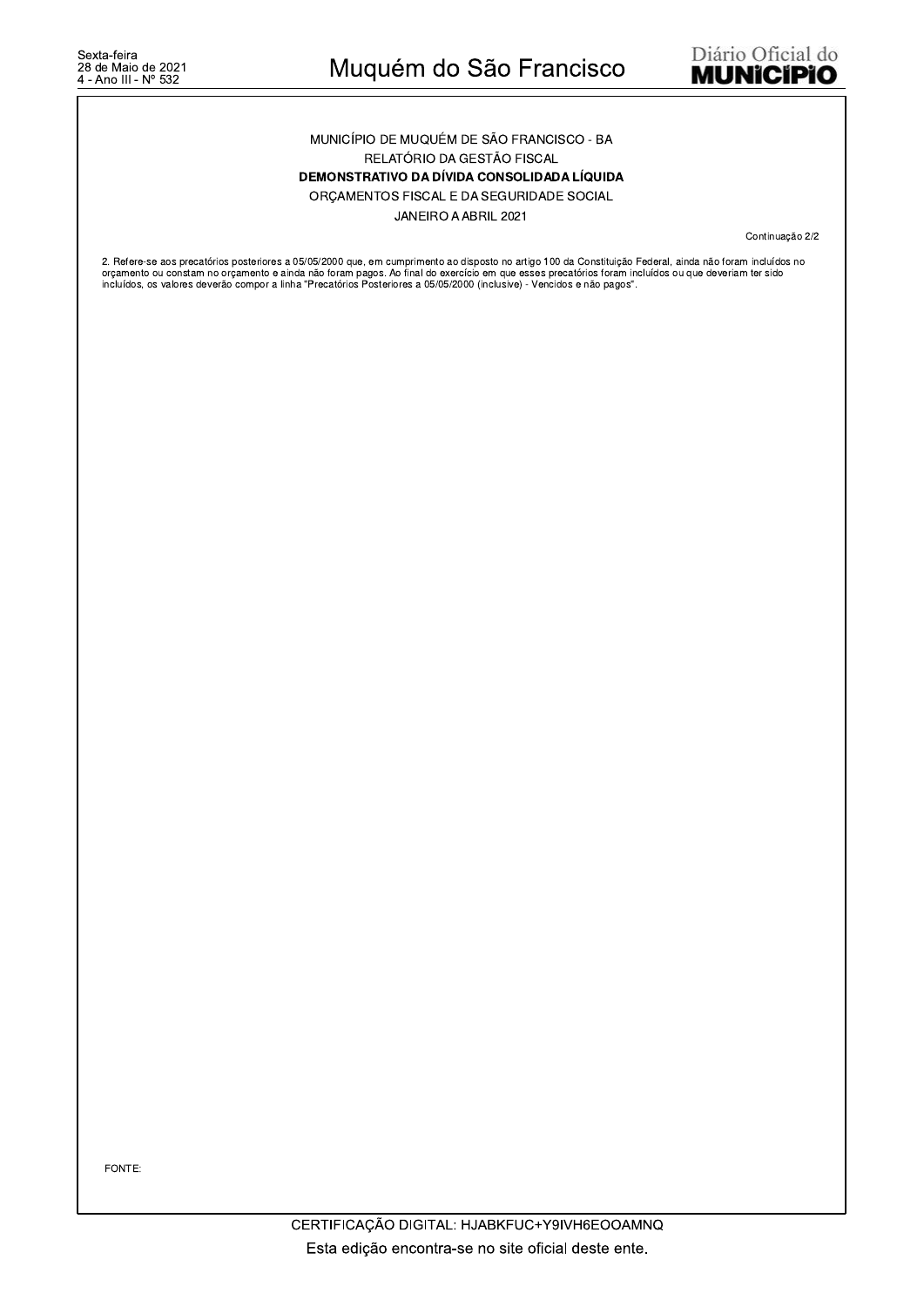#### MUNICÍPIO DE MUQUÉM DE SÃO FRANCISCO - BA RELATÓRIO DA GESTÃO FISCAL

DEMONSTRATIVO DA DÍVIDA CONSOLIDADA LÍQUIDA

ORÇAMENTOS FISCAL E DA SEGURIDADE SOCIAL

JANEIRO A ABRIL 2021

Continuação 2/2

2. Refere-se aos precatórios posteriores a 05/05/2000 que, em cumprimento ao disposto no artigo 100 da Constituição Federal, ainda não foram incluídos no<br>orçamento ou constam no orçamento e ainda não foram pagos. Ao final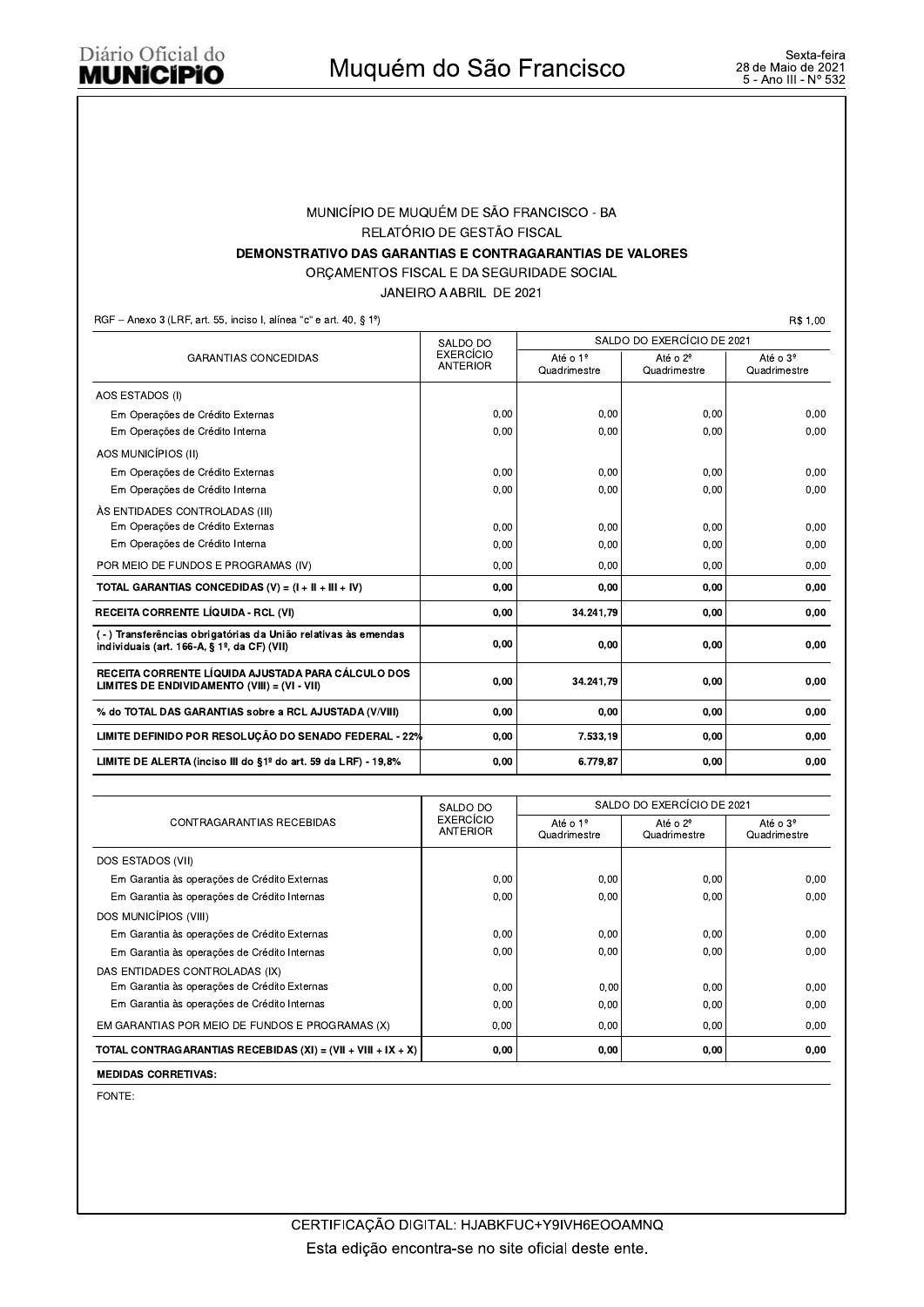#### MUNICÍPIO DE MUQUÉM DE SÃO FRANCISCO - BA RELATÓRIO DE GESTÃO FISCAL DEMONSTRATIVO DAS GARANTIAS E CONTRAGARANTIAS DE VALORES

ORÇAMENTOS FISCAL E DA SEGURIDADE SOCIAL

JANEIRO A ABRIL DE 2021

RGF - Anexo 3 (LRF, art. 55, inciso I, alínea "c" e art. 40, § 1º)

R\$ 1,00

|                                                                                                              | SALDO DO                                                                                         | SALDO DO EXERCÍCIO DE 2021 |                                      |      |  |
|--------------------------------------------------------------------------------------------------------------|--------------------------------------------------------------------------------------------------|----------------------------|--------------------------------------|------|--|
| <b>GARANTIAS CONCEDIDAS</b>                                                                                  | EXERCÍCIO<br>Até o 1º<br>Até o 2 <sup>º</sup><br><b>ANTERIOR</b><br>Quadrimestre<br>Quadrimestre |                            | Até o 3 <sup>º</sup><br>Quadrimestre |      |  |
| AOS ESTADOS (I)                                                                                              |                                                                                                  |                            |                                      |      |  |
| Em Operações de Crédito Externas                                                                             | 0.00                                                                                             | 0.00                       | 0,00                                 | 0,00 |  |
| Em Operações de Crédito Interna                                                                              | 0.00                                                                                             | 0.00                       | 0,00                                 | 0,00 |  |
| AOS MUNICÍPIOS (II)                                                                                          |                                                                                                  |                            |                                      |      |  |
| Em Operações de Crédito Externas                                                                             | 0,00                                                                                             | 0,00                       | 0,00                                 | 0.00 |  |
| Em Operações de Crédito Interna                                                                              | 0,00                                                                                             | 0.00                       | 0,00                                 | 0,00 |  |
| ÀS ENTIDADES CONTROLADAS (III)                                                                               |                                                                                                  |                            |                                      |      |  |
| Em Operações de Crédito Externas                                                                             | 0.00                                                                                             | 0.00                       | 0.00                                 | 0.00 |  |
| Em Operações de Crédito Interna                                                                              | 0,00                                                                                             | 0.00                       | 0,00                                 | 0.00 |  |
| POR MEIO DE FUNDOS E PROGRAMAS (IV)                                                                          | 0,00                                                                                             | 0.00                       | 0,00                                 | 0,00 |  |
| TOTAL GARANTIAS CONCEDIDAS (V) = $(I + II + III + IV)$                                                       | 0,00                                                                                             | 0.00                       | 0.00                                 | 0,00 |  |
| <b>RECEITA CORRENTE LÍQUIDA - RCL (VI)</b>                                                                   | 0,00                                                                                             | 34.241.79                  | 0,00                                 | 0,00 |  |
| (-) Transferências obrigatórias da União relativas às emendas<br>individuais (art. 166-A, § 1º, da CF) (VII) | 0,00                                                                                             | 0,00                       | 0,00                                 | 0,00 |  |
| RECEITA CORRENTE LÍQUIDA AJUSTADA PARA CÁLCULO DOS<br>LIMITES DE ENDIVIDAMENTO (VIII) = (VI - VII)           | 0,00                                                                                             | 34.241.79                  | 0,00                                 | 0,00 |  |
| % do TOTAL DAS GARANTIAS sobre a RCL AJUSTADA (V/VIII)                                                       | 0,00                                                                                             | 0,00                       | 0,00                                 | 0,00 |  |
| LIMITE DEFINIDO POR RESOLUÇÃO DO SENADO FEDERAL - 22%                                                        | 0,00                                                                                             | 7.533,19                   | 0,00                                 | 0.00 |  |
| LIMITE DE ALERTA (inciso III do §1º do art. 59 da LRF) - 19,8%                                               | 0,00                                                                                             | 6.779.87                   | 0,00                                 | 0,00 |  |

|                                                                | SALDO DO                     | SALDO DO EXERCÍCIO DE 2021           |                                      |                                      |  |
|----------------------------------------------------------------|------------------------------|--------------------------------------|--------------------------------------|--------------------------------------|--|
| CONTRAGARANTIAS RECEBIDAS                                      | EXERCÍCIO<br><b>ANTERIOR</b> | Até o 1 <sup>º</sup><br>Quadrimestre | Até o 2 <sup>º</sup><br>Quadrimestre | Até o 3 <sup>º</sup><br>Quadrimestre |  |
| DOS ESTADOS (VII)                                              |                              |                                      |                                      |                                      |  |
| Em Garantia às operações de Crédito Externas                   | 0,00                         | 0.00                                 | 0,00                                 | 0.00                                 |  |
| Em Garantia às operações de Crédito Internas                   | 0.00                         | 0.00                                 | 0,00                                 | 0.00                                 |  |
| DOS MUNICÍPIOS (VIII)                                          |                              |                                      |                                      |                                      |  |
| Em Garantia às operações de Crédito Externas                   | 0,00                         | 0,00                                 | 0,00                                 | 0.00                                 |  |
| Em Garantia às operações de Crédito Internas                   | 0,00                         | 0,00                                 | 0,00                                 | 0.00                                 |  |
| DAS ENTIDADES CONTROLADAS (IX)                                 |                              |                                      |                                      |                                      |  |
| Em Garantia às operações de Crédito Externas                   | 0.00                         | 0.00                                 | 0,00                                 | 0.00                                 |  |
| Em Garantia às operações de Crédito Internas                   | 0.00                         | 0.00                                 | 0.00                                 | 0.00                                 |  |
| EM GARANTIAS POR MEIO DE FUNDOS E PROGRAMAS (X)                | 0.00                         | 0.00                                 | 0.00                                 | 0,00                                 |  |
| TOTAL CONTRAGARANTIAS RECEBIDAS $(XI) = (VII + VIII + IX + X)$ | 0,00                         | 0,00                                 | 0,00                                 | 0,00                                 |  |

**MEDIDAS CORRETIVAS:**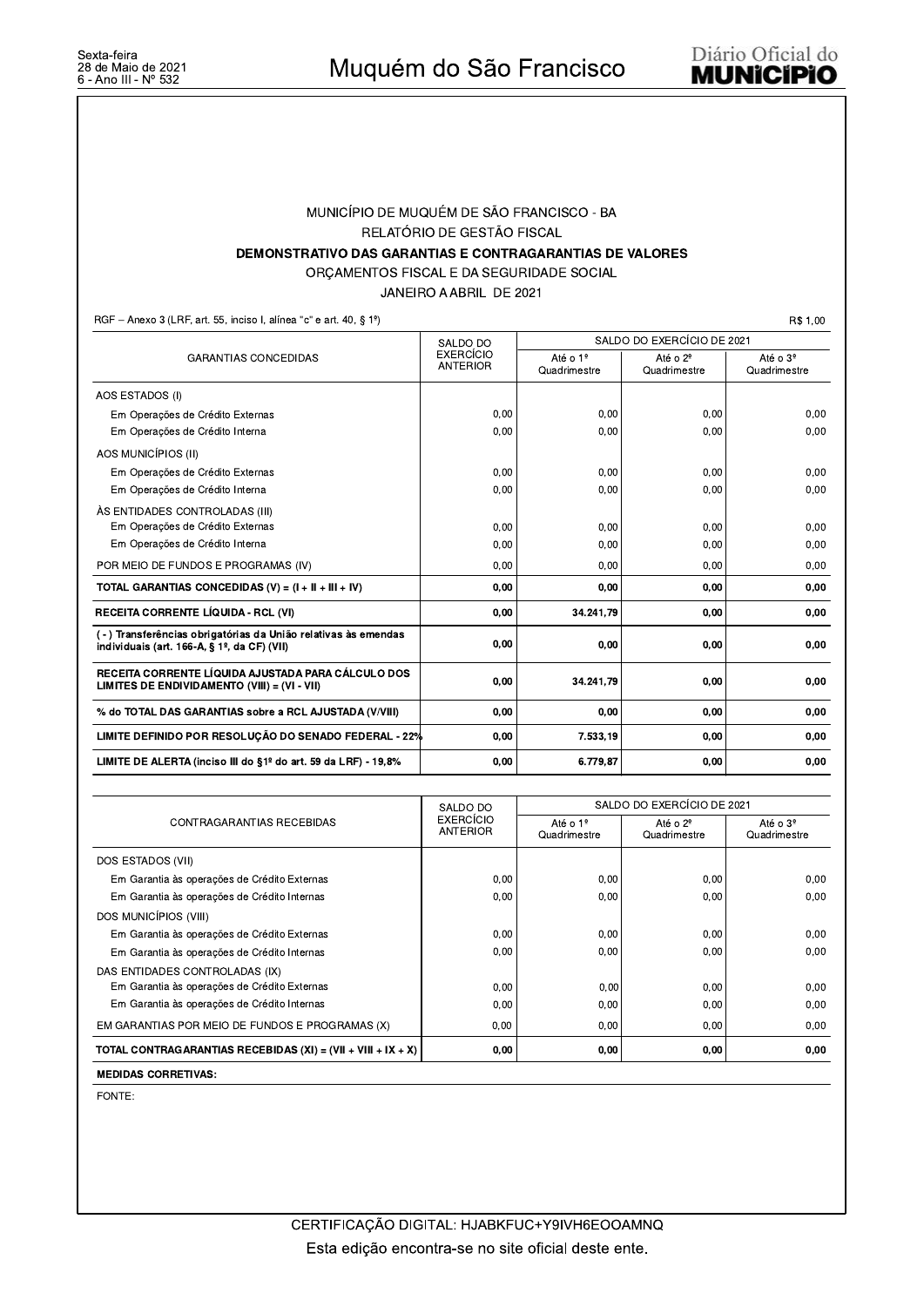#### MUNICÍPIO DE MUQUÉM DE SÃO FRANCISCO - BA RELATÓRIO DE GESTÃO FISCAL DEMONSTRATIVO DAS GARANTIAS E CONTRAGARANTIAS DE VALORES

ORÇAMENTOS FISCAL E DA SEGURIDADE SOCIAL

JANEIRO A ABRIL DE 2021

RGF - Anexo 3 (LRF, art. 55, inciso I, alínea "c" e art. 40, § 1º)

R\$ 1,00

|                                                                                                                             | SALDO DO                                                                                         | SALDO DO EXERCÍCIO DE 2021 |                                      |      |  |
|-----------------------------------------------------------------------------------------------------------------------------|--------------------------------------------------------------------------------------------------|----------------------------|--------------------------------------|------|--|
| <b>GARANTIAS CONCEDIDAS</b>                                                                                                 | EXERCÍCIO<br>Até o 1º<br>Até o 2 <sup>º</sup><br><b>ANTERIOR</b><br>Quadrimestre<br>Quadrimestre |                            | Até o 3 <sup>º</sup><br>Quadrimestre |      |  |
| AOS ESTADOS (I)                                                                                                             |                                                                                                  |                            |                                      |      |  |
| Em Operações de Crédito Externas                                                                                            | 0.00                                                                                             | 0.00                       | 0,00                                 | 0,00 |  |
| Em Operações de Crédito Interna                                                                                             | 0.00                                                                                             | 0.00                       | 0,00                                 | 0,00 |  |
| AOS MUNICÍPIOS (II)                                                                                                         |                                                                                                  |                            |                                      |      |  |
| Em Operações de Crédito Externas                                                                                            | 0,00                                                                                             | 0.00                       | 0,00                                 | 0.00 |  |
| Em Operações de Crédito Interna                                                                                             | 0,00                                                                                             | 0.00                       | 0,00                                 | 0,00 |  |
| ÀS ENTIDADES CONTROLADAS (III)                                                                                              |                                                                                                  |                            |                                      |      |  |
| Em Operações de Crédito Externas                                                                                            | 0.00                                                                                             | 0.00                       | 0.00                                 | 0.00 |  |
| Em Operações de Crédito Interna                                                                                             | 0,00                                                                                             | 0.00                       | 0,00                                 | 0.00 |  |
| POR MEIO DE FUNDOS E PROGRAMAS (IV)                                                                                         | 0.00                                                                                             | 0.00                       | 0.00                                 | 0,00 |  |
| TOTAL GARANTIAS CONCEDIDAS (V) = $(I + II + III + IV)$                                                                      | 0.00                                                                                             | 0.00                       | 0.00                                 | 0,00 |  |
| <b>RECEITA CORRENTE LÍQUIDA - RCL (VI)</b>                                                                                  | 0,00                                                                                             | 34.241.79                  | 0,00                                 | 0,00 |  |
| ( - ) Transferências obrigatórias da União relativas às emendas<br>individuais (art. 166-A, § 1 <sup>o</sup> , da CF) (VII) | 0,00                                                                                             | 0,00                       | 0,00                                 | 0,00 |  |
| RECEITA CORRENTE LÍQUIDA AJUSTADA PARA CÁLCULO DOS<br>LIMITES DE ENDIVIDAMENTO (VIII) = (VI - VII)                          | 0,00                                                                                             | 34.241.79                  | 0,00                                 | 0,00 |  |
| % do TOTAL DAS GARANTIAS sobre a RCL AJUSTADA (V/VIII)                                                                      | 0,00                                                                                             | 0,00                       | 0,00                                 | 0,00 |  |
| LIMITE DEFINIDO POR RESOLUÇÃO DO SENADO FEDERAL - 22%                                                                       | 0,00                                                                                             | 7.533,19                   | 0,00                                 | 0.00 |  |
| LIMITE DE ALERTA (inciso III do §1º do art. 59 da LRF) - 19,8%                                                              | 0,00                                                                                             | 6.779.87                   | 0,00                                 | 0,00 |  |

|                                                                | SALDO DO                            | SALDO DO EXERCÍCIO DE 2021           |                                   |                                      |  |
|----------------------------------------------------------------|-------------------------------------|--------------------------------------|-----------------------------------|--------------------------------------|--|
| CONTRAGARANTIAS RECEBIDAS                                      | <b>EXERCÍCIO</b><br><b>ANTERIOR</b> | Até o 1 <sup>º</sup><br>Quadrimestre | Até o $2^{\circ}$<br>Quadrimestre | Até o 3 <sup>º</sup><br>Quadrimestre |  |
| DOS ESTADOS (VII)                                              |                                     |                                      |                                   |                                      |  |
| Em Garantia às operações de Crédito Externas                   | 0,00                                | 0.00                                 | 0,00                              | 0.00                                 |  |
| Em Garantia às operações de Crédito Internas                   | 0.00                                | 0.00                                 | 0,00                              | 0,00                                 |  |
| DOS MUNICÍPIOS (VIII)                                          |                                     |                                      |                                   |                                      |  |
| Em Garantia às operações de Crédito Externas                   | 0.00                                | 0.00                                 | 0.00                              | 0.00                                 |  |
| Em Garantia às operações de Crédito Internas                   | 0,00                                | 0.00                                 | 0,00                              | 0.00                                 |  |
| DAS ENTIDADES CONTROLADAS (IX)                                 |                                     |                                      |                                   |                                      |  |
| Em Garantia às operações de Crédito Externas                   | 0.00                                | 0,00                                 | 0.00                              | 0.00                                 |  |
| Em Garantia às operações de Crédito Internas                   | 0.00                                | 0.00                                 | 0.00                              | 0,00                                 |  |
| EM GARANTIAS POR MEIO DE FUNDOS E PROGRAMAS (X)                | 0,00                                | 0.00                                 | 0,00                              | 0,00                                 |  |
| TOTAL CONTRAGARANTIAS RECEBIDAS $(XI) = (VII + VIII + IX + X)$ | 0,00                                | 0,00                                 | 0,00                              | 0,00                                 |  |

**MEDIDAS CORRETIVAS:**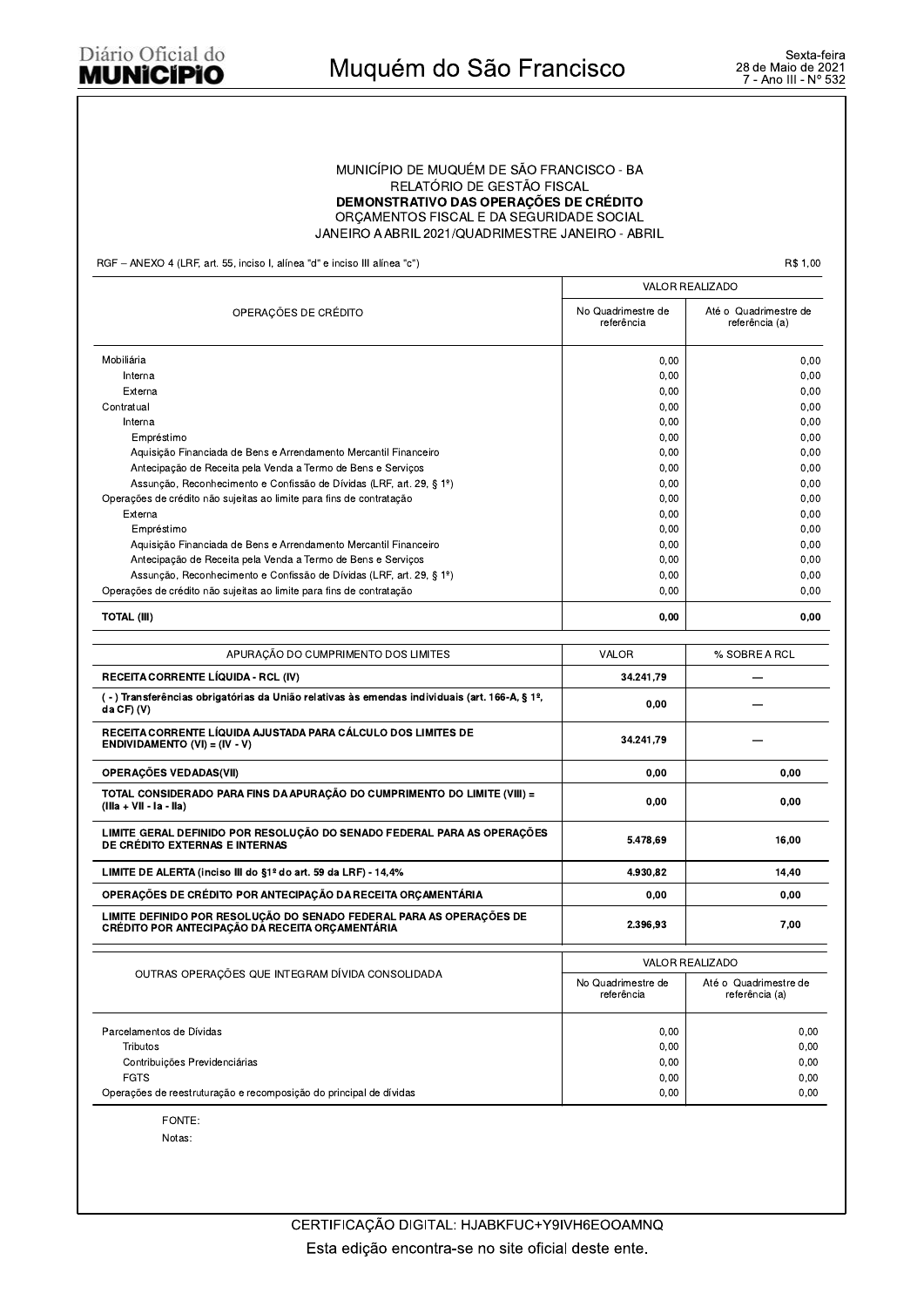#### Diário Oficial do **MUNICIPIO**

#### MUNICÍPIO DE MUQUÉM DE SÃO FRANCISCO - BA RELATÓRIO DE GESTÃO FISCAL **DEMONSTRATIVO DAS OPERAÇÕES DE CRÉDITO** ORCAMENTOS FISCAL E DA SEGURIDADE SOCIAL JANEIRO A ABRIL 2021/QUADRIMESTRE JANEIRO - ABRIL

RGF - ANEXO 4 (LRF, art. 55, inciso I, alínea "d" e inciso III alínea "c")

R\$ 1,00

|                                                                                                                         |                                  | <b>VALOR REALIZADO</b>                  |
|-------------------------------------------------------------------------------------------------------------------------|----------------------------------|-----------------------------------------|
| OPERAÇÕES DE CRÉDITO                                                                                                    | No Quadrimestre de<br>referência | Até o Quadrimestre de<br>referência (a) |
| Mobiliária                                                                                                              | 0,00                             | 0,00                                    |
| Interna                                                                                                                 | 0,00                             | 0,00                                    |
| Externa                                                                                                                 | 0,00                             | 0,00                                    |
| Contratual                                                                                                              | 0,00                             | 0,00                                    |
| Interna                                                                                                                 | 0,00                             | 0,00                                    |
| Empréstimo                                                                                                              | 0,00                             | 0,00                                    |
| Aquisição Financiada de Bens e Arrendamento Mercantil Financeiro                                                        | 0,00                             | 0,00                                    |
| Antecipação de Receita pela Venda a Termo de Bens e Serviços                                                            | 0,00                             | 0,00                                    |
| Assunção, Reconhecimento e Confissão de Dívidas (LRF, art. 29, § 1º)                                                    | 0,00                             | 0.00                                    |
| Operações de crédito não sujeitas ao limite para fins de contratação                                                    | 0,00                             | 0,00                                    |
| Externa                                                                                                                 | 0,00                             | 0,00                                    |
| Empréstimo                                                                                                              | 0,00                             | 0,00                                    |
| Aquisição Financiada de Bens e Arrendamento Mercantil Financeiro                                                        | 0,00                             | 0,00                                    |
| Antecipação de Receita pela Venda a Termo de Bens e Serviços                                                            | 0,00                             | 0,00                                    |
| Assunção, Reconhecimento e Confissão de Dívidas (LRF, art. 29, § 1º)                                                    | 0,00                             | 0,00                                    |
| Operações de crédito não sujeitas ao limite para fins de contratação                                                    | 0,00                             | 0.00                                    |
| <b>TOTAL (III)</b>                                                                                                      | 0,00                             | 0,00                                    |
| APURAÇÃO DO CUMPRIMENTO DOS LIMITES                                                                                     | VALOR                            | % SOBRE A RCL                           |
|                                                                                                                         |                                  |                                         |
| RECEITA CORRENTE LÍQUIDA - RCL (IV)                                                                                     | 34.241,79                        |                                         |
| (-) Transferências obrigatórias da União relativas às emendas individuais (art. 166-A, § 1º,<br>da CF) (V)              | 0,00                             |                                         |
| RECEITA CORRENTE LÍQUIDA AJUSTADA PARA CÁLCULO DOS LIMITES DE<br>ENDIVIDAMENTO (VI) = $(IV - V)$                        | 34.241,79                        |                                         |
| <b>OPERAÇÕES VEDADAS(VII)</b>                                                                                           | 0,00                             | 0,00                                    |
| TOTAL CONSIDERADO PARA FINS DA APURAÇÃO DO CUMPRIMENTO DO LIMITE (VIII) =<br>(Illa + VII - Ia - IIa)                    | 0,00                             | 0,00                                    |
| LIMITE GERAL DEFINIDO POR RESOLUÇÃO DO SENADO FEDERAL PARA AS OPERAÇÕES<br>DE CRÉDITO EXTERNAS E INTERNAS               | 5.478,69                         | 16,00                                   |
| LIMITE DE ALERTA (inciso III do §1º do art. 59 da LRF) - 14,4%                                                          | 4.930,82                         | 14,40                                   |
| OPERACÕES DE CRÉDITO POR ANTECIPACÃO DA RECEITA ORCAMENTÁRIA                                                            | 0,00                             | 0,00                                    |
| LIMITE DEFINIDO POR RESOLUÇÃO DO SENADO FEDERAL PARA AS OPERAÇÕES DE<br>CRÉDITO POR ANTECIPAÇÃO DA RECEITA ORÇAMENTÁRIA | 2.396.93                         | 7,00                                    |
|                                                                                                                         |                                  | <b>VALOR REALIZADO</b>                  |
| OUTRAS OPERAÇÕES QUE INTEGRAM DÍVIDA CONSOLIDADA                                                                        | No Quadrimestre de<br>referência | Até o Quadrimestre de<br>referência (a) |
| Parcelamentos de Dívidas                                                                                                | 0,00                             | 0,00                                    |
| Tributos                                                                                                                | 0,00                             | 0,00                                    |
| Contribuições Previdenciárias                                                                                           | 0,00                             | 0,00                                    |
| <b>FGTS</b>                                                                                                             | 0,00                             | 0,00                                    |
| Operações de reestruturação e recomposição do principal de dívidas                                                      | 0,00                             | 0,00                                    |
|                                                                                                                         |                                  |                                         |

FONTE: Notas: